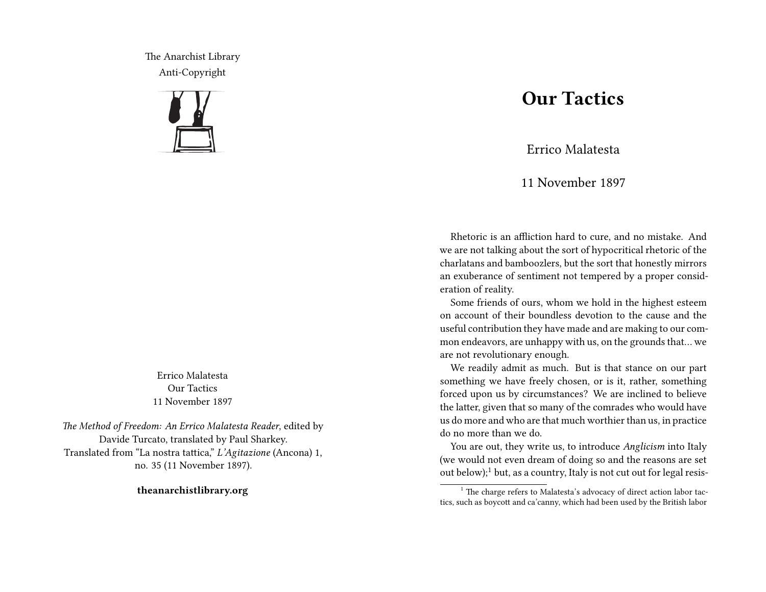The Anarchist Library Anti-Copyright



Errico Malatesta Our Tactics 11 November 1897

*The Method of Freedom: An Errico Malatesta Reader*, edited by Davide Turcato, translated by Paul Sharkey. Translated from "La nostra tattica," *L'Agitazione* (Ancona) 1, no. 35 (11 November 1897).

**theanarchistlibrary.org**

## **Our Tactics**

Errico Malatesta

11 November 1897

Rhetoric is an affliction hard to cure, and no mistake. And we are not talking about the sort of hypocritical rhetoric of the charlatans and bamboozlers, but the sort that honestly mirrors an exuberance of sentiment not tempered by a proper consideration of reality.

Some friends of ours, whom we hold in the highest esteem on account of their boundless devotion to the cause and the useful contribution they have made and are making to our common endeavors, are unhappy with us, on the grounds that… we are not revolutionary enough.

We readily admit as much. But is that stance on our part something we have freely chosen, or is it, rather, something forced upon us by circumstances? We are inclined to believe the latter, given that so many of the comrades who would have us do more and who are that much worthier than us, in practice do no more than we do.

You are out, they write us, to introduce *Anglicism* into Italy (we would not even dream of doing so and the reasons are set out below);<sup>1</sup> but, as a country, Italy is not cut out for legal resis-

<sup>&</sup>lt;sup>1</sup> The charge refers to Malatesta's advocacy of direct action labor tactics, such as boycott and ca'canny, which had been used by the British labor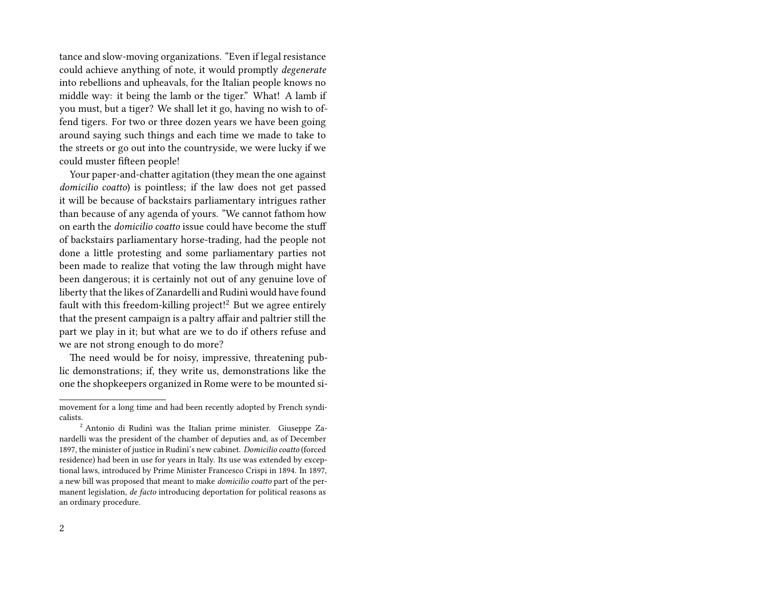tance and slow-moving organizations. "Even if legal resistance could achieve anything of note, it would promptly *degenerate* into rebellions and upheavals, for the Italian people knows no middle way: it being the lamb or the tiger." What! A lamb if you must, but a tiger? We shall let it go, having no wish to offend tigers. For two or three dozen years we have been going around saying such things and each time we made to take to the streets or go out into the countryside, we were lucky if we could muster fifteen people!

Your paper-and-chatter agitation (they mean the one against *domicilio coatto*) is pointless; if the law does not get passed it will be because of backstairs parliamentary intrigues rather than because of any agenda of yours. "We cannot fathom how on earth the *domicilio coatto* issue could have become the stuff of backstairs parliamentary horse-trading, had the people not done a little protesting and some parliamentary parties not been made to realize that voting the law through might have been dangerous; it is certainly not out of any genuine love of liberty that the likes of Zanardelli and Rudinì would have found fault with this freedom-killing project!<sup>2</sup> But we agree entirely that the present campaign is a paltry affair and paltrier still the part we play in it; but what are we to do if others refuse and we are not strong enough to do more?

The need would be for noisy, impressive, threatening public demonstrations; if, they write us, demonstrations like the one the shopkeepers organized in Rome were to be mounted si-

movement for a long time and had been recently adopted by French syndicalists.

<sup>2</sup> Antonio di Rudinì was the Italian prime minister. Giuseppe Zanardelli was the president of the chamber of deputies and, as of December 1897, the minister of justice in Rudinì's new cabinet. *Domicilio coatto* (forced residence) had been in use for years in Italy. Its use was extended by exceptional laws, introduced by Prime Minister Francesco Crispi in 1894. In 1897, a new bill was proposed that meant to make *domicilio coatto* part of the permanent legislation, *de facto* introducing deportation for political reasons as an ordinary procedure.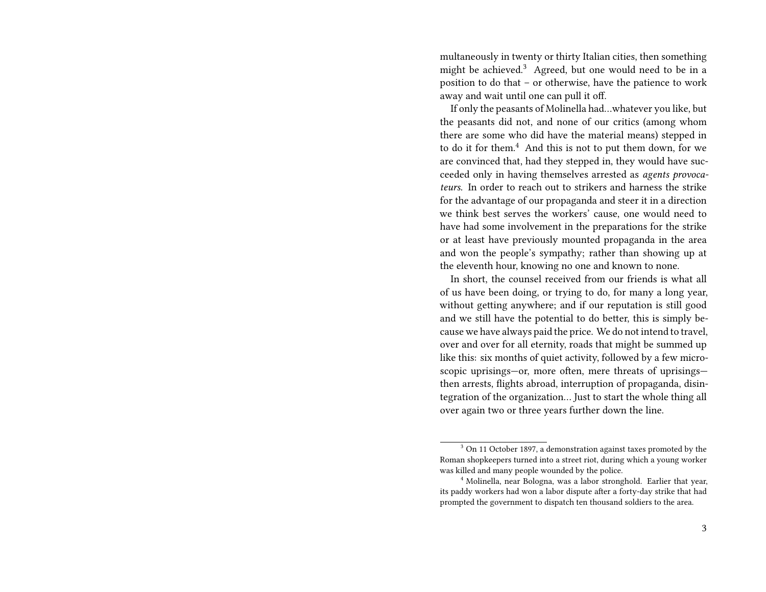multaneously in twenty or thirty Italian cities, then something might be achieved.<sup>3</sup> Agreed, but one would need to be in a position to do that – or otherwise, have the patience to work away and wait until one can pull it off.

If only the peasants of Molinella had…whatever you like, but the peasants did not, and none of our critics (among whom there are some who did have the material means) stepped in to do it for them.<sup>4</sup> And this is not to put them down, for we are convinced that, had they stepped in, they would have succeeded only in having themselves arrested as *agents provocateurs*. In order to reach out to strikers and harness the strike for the advantage of our propaganda and steer it in a direction we think best serves the workers' cause, one would need to have had some involvement in the preparations for the strike or at least have previously mounted propaganda in the area and won the people's sympathy; rather than showing up at the eleventh hour, knowing no one and known to none.

In short, the counsel received from our friends is what all of us have been doing, or trying to do, for many a long year, without getting anywhere; and if our reputation is still good and we still have the potential to do better, this is simply because we have always paid the price. We do not intend to travel, over and over for all eternity, roads that might be summed up like this: six months of quiet activity, followed by a few microscopic uprisings—or, more often, mere threats of uprisings then arrests, flights abroad, interruption of propaganda, disintegration of the organization… Just to start the whole thing all over again two or three years further down the line.

<sup>&</sup>lt;sup>3</sup> On 11 October 1897, a demonstration against taxes promoted by the Roman shopkeepers turned into a street riot, during which a young worker was killed and many people wounded by the police.

<sup>&</sup>lt;sup>4</sup> Molinella, near Bologna, was a labor stronghold. Earlier that year, its paddy workers had won a labor dispute after a forty-day strike that had prompted the government to dispatch ten thousand soldiers to the area.